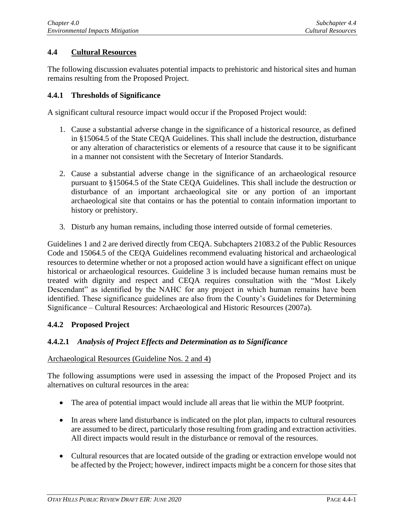# **4.4 Cultural Resources**

The following discussion evaluates potential impacts to prehistoric and historical sites and human remains resulting from the Proposed Project.

## **4.4.1 Thresholds of Significance**

A significant cultural resource impact would occur if the Proposed Project would:

- 1. Cause a substantial adverse change in the significance of a historical resource, as defined in §15064.5 of the State CEQA Guidelines. This shall include the destruction, disturbance or any alteration of characteristics or elements of a resource that cause it to be significant in a manner not consistent with the Secretary of Interior Standards.
- 2. Cause a substantial adverse change in the significance of an archaeological resource pursuant to §15064.5 of the State CEQA Guidelines. This shall include the destruction or disturbance of an important archaeological site or any portion of an important archaeological site that contains or has the potential to contain information important to history or prehistory.
- 3. Disturb any human remains, including those interred outside of formal cemeteries.

Guidelines 1 and 2 are derived directly from CEQA. Subchapters 21083.2 of the Public Resources Code and 15064.5 of the CEQA Guidelines recommend evaluating historical and archaeological resources to determine whether or not a proposed action would have a significant effect on unique historical or archaeological resources. Guideline 3 is included because human remains must be treated with dignity and respect and CEQA requires consultation with the "Most Likely Descendant" as identified by the NAHC for any project in which human remains have been identified. These significance guidelines are also from the County's Guidelines for Determining Significance – Cultural Resources: Archaeological and Historic Resources (2007a).

# **4.4.2 Proposed Project**

# **4.4.2.1** *Analysis of Project Effects and Determination as to Significance*

### Archaeological Resources (Guideline Nos. 2 and 4)

The following assumptions were used in assessing the impact of the Proposed Project and its alternatives on cultural resources in the area:

- The area of potential impact would include all areas that lie within the MUP footprint.
- In areas where land disturbance is indicated on the plot plan, impacts to cultural resources are assumed to be direct, particularly those resulting from grading and extraction activities. All direct impacts would result in the disturbance or removal of the resources.
- Cultural resources that are located outside of the grading or extraction envelope would not be affected by the Project; however, indirect impacts might be a concern for those sites that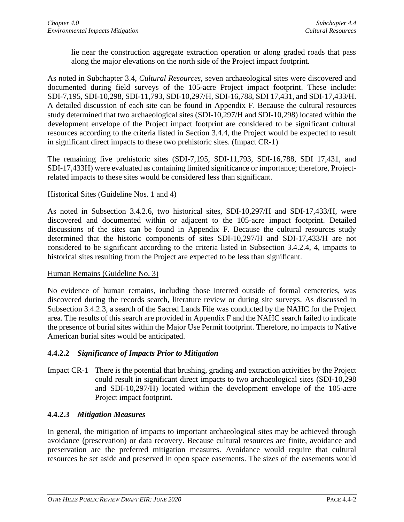lie near the construction aggregate extraction operation or along graded roads that pass along the major elevations on the north side of the Project impact footprint.

As noted in Subchapter 3.4, *Cultural Resources*, seven archaeological sites were discovered and documented during field surveys of the 105-acre Project impact footprint. These include: SDI-7,195, SDI-10,298, SDI-11,793, SDI-10,297/H, SDI-16,788, SDI 17,431, and SDI-17,433/H. A detailed discussion of each site can be found in Appendix F. Because the cultural resources study determined that two archaeological sites (SDI-10,297/H and SDI-10,298) located within the development envelope of the Project impact footprint are considered to be significant cultural resources according to the criteria listed in Section 3.4.4, the Project would be expected to result in significant direct impacts to these two prehistoric sites. (Impact CR-1)

The remaining five prehistoric sites (SDI-7,195, SDI-11,793, SDI-16,788, SDI 17,431, and SDI-17,433H) were evaluated as containing limited significance or importance; therefore, Projectrelated impacts to these sites would be considered less than significant.

# Historical Sites (Guideline Nos. 1 and 4)

As noted in Subsection 3.4.2.6, two historical sites, SDI-10,297/H and SDI-17,433/H, were discovered and documented within or adjacent to the 105-acre impact footprint. Detailed discussions of the sites can be found in Appendix F. Because the cultural resources study determined that the historic components of sites SDI-10,297/H and SDI-17,433/H are not considered to be significant according to the criteria listed in Subsection 3.4.2.4, 4, impacts to historical sites resulting from the Project are expected to be less than significant.

# Human Remains (Guideline No. 3)

No evidence of human remains, including those interred outside of formal cemeteries, was discovered during the records search, literature review or during site surveys. As discussed in Subsection 3.4.2.3, a search of the Sacred Lands File was conducted by the NAHC for the Project area. The results of this search are provided in Appendix F and the NAHC search failed to indicate the presence of burial sites within the Major Use Permit footprint. Therefore, no impacts to Native American burial sites would be anticipated.

# **4.4.2.2** *Significance of Impacts Prior to Mitigation*

Impact CR-1 There is the potential that brushing, grading and extraction activities by the Project could result in significant direct impacts to two archaeological sites (SDI-10,298 and SDI-10,297/H) located within the development envelope of the 105-acre Project impact footprint.

# **4.4.2.3** *Mitigation Measures*

In general, the mitigation of impacts to important archaeological sites may be achieved through avoidance (preservation) or data recovery. Because cultural resources are finite, avoidance and preservation are the preferred mitigation measures. Avoidance would require that cultural resources be set aside and preserved in open space easements. The sizes of the easements would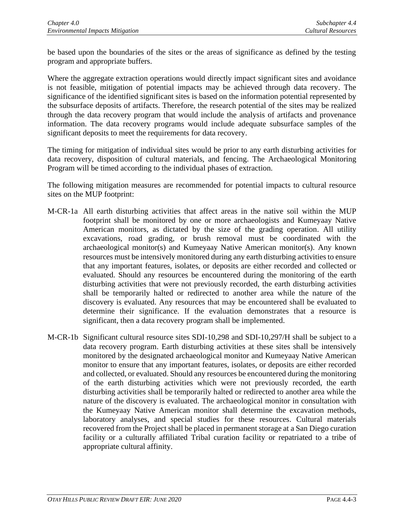be based upon the boundaries of the sites or the areas of significance as defined by the testing program and appropriate buffers.

Where the aggregate extraction operations would directly impact significant sites and avoidance is not feasible, mitigation of potential impacts may be achieved through data recovery. The significance of the identified significant sites is based on the information potential represented by the subsurface deposits of artifacts. Therefore, the research potential of the sites may be realized through the data recovery program that would include the analysis of artifacts and provenance information. The data recovery programs would include adequate subsurface samples of the significant deposits to meet the requirements for data recovery.

The timing for mitigation of individual sites would be prior to any earth disturbing activities for data recovery, disposition of cultural materials, and fencing. The Archaeological Monitoring Program will be timed according to the individual phases of extraction.

The following mitigation measures are recommended for potential impacts to cultural resource sites on the MUP footprint:

- M-CR-1a All earth disturbing activities that affect areas in the native soil within the MUP footprint shall be monitored by one or more archaeologists and Kumeyaay Native American monitors, as dictated by the size of the grading operation. All utility excavations, road grading, or brush removal must be coordinated with the archaeological monitor(s) and Kumeyaay Native American monitor(s). Any known resources must be intensively monitored during any earth disturbing activities to ensure that any important features, isolates, or deposits are either recorded and collected or evaluated. Should any resources be encountered during the monitoring of the earth disturbing activities that were not previously recorded, the earth disturbing activities shall be temporarily halted or redirected to another area while the nature of the discovery is evaluated. Any resources that may be encountered shall be evaluated to determine their significance. If the evaluation demonstrates that a resource is significant, then a data recovery program shall be implemented.
- M-CR-1b Significant cultural resource sites SDI-10,298 and SDI-10,297/H shall be subject to a data recovery program. Earth disturbing activities at these sites shall be intensively monitored by the designated archaeological monitor and Kumeyaay Native American monitor to ensure that any important features, isolates, or deposits are either recorded and collected, or evaluated. Should any resources be encountered during the monitoring of the earth disturbing activities which were not previously recorded, the earth disturbing activities shall be temporarily halted or redirected to another area while the nature of the discovery is evaluated. The archaeological monitor in consultation with the Kumeyaay Native American monitor shall determine the excavation methods, laboratory analyses, and special studies for these resources. Cultural materials recovered from the Project shall be placed in permanent storage at a San Diego curation facility or a culturally affiliated Tribal curation facility or repatriated to a tribe of appropriate cultural affinity.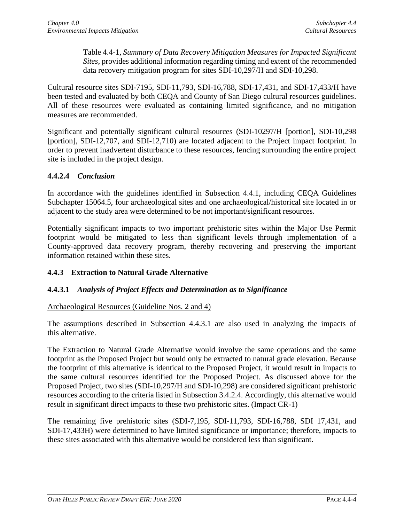Table 4.4-1, *Summary of Data Recovery Mitigation Measures for Impacted Significant Sites*, provides additional information regarding timing and extent of the recommended data recovery mitigation program for sites SDI-10,297/H and SDI-10,298.

Cultural resource sites SDI-7195, SDI-11,793, SDI-16,788, SDI-17,431, and SDI-17,433/H have been tested and evaluated by both CEQA and County of San Diego cultural resources guidelines. All of these resources were evaluated as containing limited significance, and no mitigation measures are recommended.

Significant and potentially significant cultural resources (SDI-10297/H [portion], SDI-10,298 [portion], SDI-12,707, and SDI-12,710) are located adjacent to the Project impact footprint. In order to prevent inadvertent disturbance to these resources, fencing surrounding the entire project site is included in the project design.

# **4.4.2.4** *Conclusion*

In accordance with the guidelines identified in Subsection 4.4.1, including CEQA Guidelines Subchapter 15064.5, four archaeological sites and one archaeological/historical site located in or adjacent to the study area were determined to be not important/significant resources.

Potentially significant impacts to two important prehistoric sites within the Major Use Permit footprint would be mitigated to less than significant levels through implementation of a County-approved data recovery program, thereby recovering and preserving the important information retained within these sites.

# **4.4.3 Extraction to Natural Grade Alternative**

# **4.4.3.1** *Analysis of Project Effects and Determination as to Significance*

# Archaeological Resources (Guideline Nos. 2 and 4)

The assumptions described in Subsection 4.4.3.1 are also used in analyzing the impacts of this alternative.

The Extraction to Natural Grade Alternative would involve the same operations and the same footprint as the Proposed Project but would only be extracted to natural grade elevation. Because the footprint of this alternative is identical to the Proposed Project, it would result in impacts to the same cultural resources identified for the Proposed Project. As discussed above for the Proposed Project, two sites (SDI-10,297/H and SDI-10,298) are considered significant prehistoric resources according to the criteria listed in Subsection 3.4.2.4. Accordingly, this alternative would result in significant direct impacts to these two prehistoric sites. (Impact CR-1)

The remaining five prehistoric sites (SDI-7,195, SDI-11,793, SDI-16,788, SDI 17,431, and SDI-17,433H) were determined to have limited significance or importance; therefore, impacts to these sites associated with this alternative would be considered less than significant.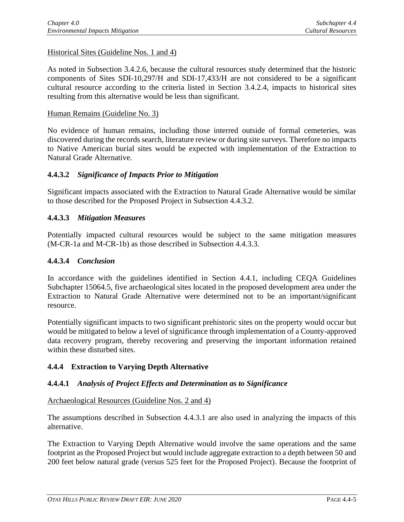Historical Sites (Guideline Nos. 1 and 4)

As noted in Subsection 3.4.2.6, because the cultural resources study determined that the historic components of Sites SDI-10,297/H and SDI-17,433/H are not considered to be a significant cultural resource according to the criteria listed in Section 3.4.2.4, impacts to historical sites resulting from this alternative would be less than significant.

#### Human Remains (Guideline No. 3)

No evidence of human remains, including those interred outside of formal cemeteries, was discovered during the records search, literature review or during site surveys. Therefore no impacts to Native American burial sites would be expected with implementation of the Extraction to Natural Grade Alternative.

### **4.4.3.2** *Significance of Impacts Prior to Mitigation*

Significant impacts associated with the Extraction to Natural Grade Alternative would be similar to those described for the Proposed Project in Subsection 4.4.3.2.

### **4.4.3.3** *Mitigation Measures*

Potentially impacted cultural resources would be subject to the same mitigation measures (M-CR-1a and M-CR-1b) as those described in Subsection 4.4.3.3.

#### **4.4.3.4** *Conclusion*

In accordance with the guidelines identified in Section 4.4.1, including CEQA Guidelines Subchapter 15064.5, five archaeological sites located in the proposed development area under the Extraction to Natural Grade Alternative were determined not to be an important/significant resource.

Potentially significant impacts to two significant prehistoric sites on the property would occur but would be mitigated to below a level of significance through implementation of a County-approved data recovery program, thereby recovering and preserving the important information retained within these disturbed sites.

### **4.4.4 Extraction to Varying Depth Alternative**

### **4.4.4.1** *Analysis of Project Effects and Determination as to Significance*

## Archaeological Resources (Guideline Nos. 2 and 4)

The assumptions described in Subsection 4.4.3.1 are also used in analyzing the impacts of this alternative.

The Extraction to Varying Depth Alternative would involve the same operations and the same footprint as the Proposed Project but would include aggregate extraction to a depth between 50 and 200 feet below natural grade (versus 525 feet for the Proposed Project). Because the footprint of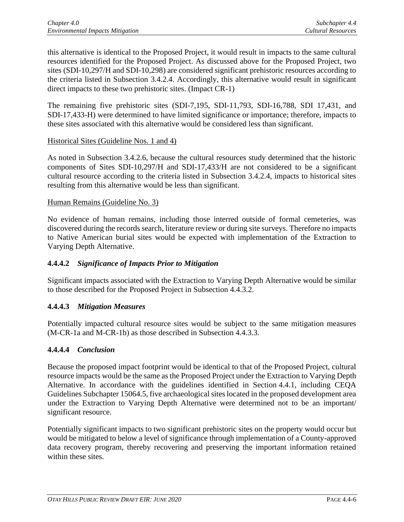this alternative is identical to the Proposed Project, it would result in impacts to the same cultural resources identified for the Proposed Project. As discussed above for the Proposed Project, two sites (SDI-10,297/H and SDI-10,298) are considered significant prehistoric resources according to the criteria listed in Subsection 3.4.2.4. Accordingly, this alternative would result in significant direct impacts to these two prehistoric sites. (Impact CR-1)

The remaining five prehistoric sites (SDI-7,195, SDI-11,793, SDI-16,788, SDI 17,431, and SDI-17,433-H) were determined to have limited significance or importance; therefore, impacts to these sites associated with this alternative would be considered less than significant.

## Historical Sites (Guideline Nos. 1 and 4)

As noted in Subsection 3.4.2.6, because the cultural resources study determined that the historic components of Sites SDI-10,297/H and SDI-17,433/H are not considered to be a significant cultural resource according to the criteria listed in Subsection 3.4.2.4, impacts to historical sites resulting from this alternative would be less than significant.

## Human Remains (Guideline No. 3)

No evidence of human remains, including those interred outside of formal cemeteries, was discovered during the records search, literature review or during site surveys. Therefore no impacts to Native American burial sites would be expected with implementation of the Extraction to Varying Depth Alternative.

# **4.4.4.2** *Significance of Impacts Prior to Mitigation*

Significant impacts associated with the Extraction to Varying Depth Alternative would be similar to those described for the Proposed Project in Subsection 4.4.3.2.

# **4.4.4.3** *Mitigation Measures*

Potentially impacted cultural resource sites would be subject to the same mitigation measures (M-CR-1a and M-CR-1b) as those described in Subsection 4.4.3.3.

### **4.4.4.4** *Conclusion*

Because the proposed impact footprint would be identical to that of the Proposed Project, cultural resource impacts would be the same as the Proposed Project under the Extraction to Varying Depth Alternative. In accordance with the guidelines identified in Section 4.4.1, including CEQA Guidelines Subchapter 15064.5, five archaeological sites located in the proposed development area under the Extraction to Varying Depth Alternative were determined not to be an important/ significant resource.

Potentially significant impacts to two significant prehistoric sites on the property would occur but would be mitigated to below a level of significance through implementation of a County-approved data recovery program, thereby recovering and preserving the important information retained within these sites.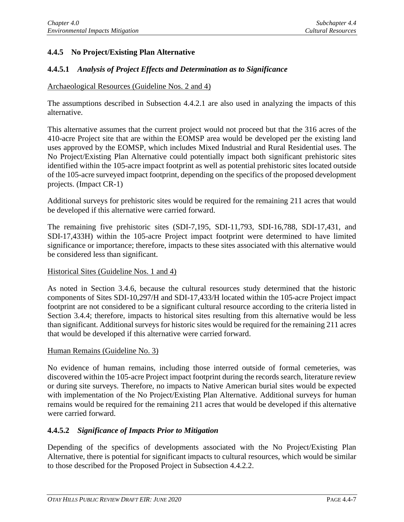# **4.4.5 No Project/Existing Plan Alternative**

## **4.4.5.1** *Analysis of Project Effects and Determination as to Significance*

### Archaeological Resources (Guideline Nos. 2 and 4)

The assumptions described in Subsection 4.4.2.1 are also used in analyzing the impacts of this alternative.

This alternative assumes that the current project would not proceed but that the 316 acres of the 410-acre Project site that are within the EOMSP area would be developed per the existing land uses approved by the EOMSP, which includes Mixed Industrial and Rural Residential uses. The No Project/Existing Plan Alternative could potentially impact both significant prehistoric sites identified within the 105-acre impact footprint as well as potential prehistoric sites located outside of the 105-acre surveyed impact footprint, depending on the specifics of the proposed development projects. (Impact CR-1)

Additional surveys for prehistoric sites would be required for the remaining 211 acres that would be developed if this alternative were carried forward.

The remaining five prehistoric sites (SDI-7,195, SDI-11,793, SDI-16,788, SDI-17,431, and SDI-17,433H) within the 105-acre Project impact footprint were determined to have limited significance or importance; therefore, impacts to these sites associated with this alternative would be considered less than significant.

### Historical Sites (Guideline Nos. 1 and 4)

As noted in Section 3.4.6, because the cultural resources study determined that the historic components of Sites SDI-10,297/H and SDI-17,433/H located within the 105-acre Project impact footprint are not considered to be a significant cultural resource according to the criteria listed in Section 3.4.4; therefore, impacts to historical sites resulting from this alternative would be less than significant. Additional surveys for historic sites would be required for the remaining 211 acres that would be developed if this alternative were carried forward.

#### Human Remains (Guideline No. 3)

No evidence of human remains, including those interred outside of formal cemeteries, was discovered within the 105-acre Project impact footprint during the records search, literature review or during site surveys. Therefore, no impacts to Native American burial sites would be expected with implementation of the No Project/Existing Plan Alternative. Additional surveys for human remains would be required for the remaining 211 acres that would be developed if this alternative were carried forward.

### **4.4.5.2** *Significance of Impacts Prior to Mitigation*

Depending of the specifics of developments associated with the No Project/Existing Plan Alternative, there is potential for significant impacts to cultural resources, which would be similar to those described for the Proposed Project in Subsection 4.4.2.2.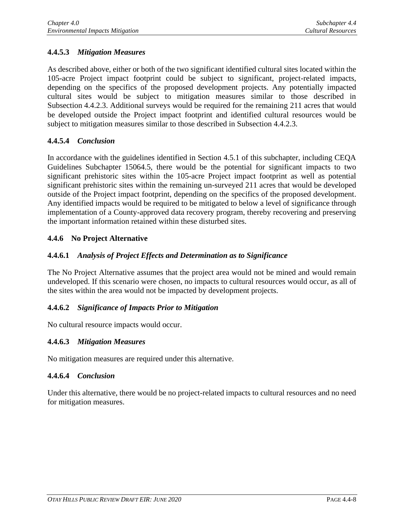# **4.4.5.3** *Mitigation Measures*

As described above, either or both of the two significant identified cultural sites located within the 105-acre Project impact footprint could be subject to significant, project-related impacts, depending on the specifics of the proposed development projects. Any potentially impacted cultural sites would be subject to mitigation measures similar to those described in Subsection 4.4.2.3. Additional surveys would be required for the remaining 211 acres that would be developed outside the Project impact footprint and identified cultural resources would be subject to mitigation measures similar to those described in Subsection 4.4.2.3.

# **4.4.5.4** *Conclusion*

In accordance with the guidelines identified in Section 4.5.1 of this subchapter, including CEQA Guidelines Subchapter 15064.5, there would be the potential for significant impacts to two significant prehistoric sites within the 105-acre Project impact footprint as well as potential significant prehistoric sites within the remaining un-surveyed 211 acres that would be developed outside of the Project impact footprint, depending on the specifics of the proposed development. Any identified impacts would be required to be mitigated to below a level of significance through implementation of a County-approved data recovery program, thereby recovering and preserving the important information retained within these disturbed sites.

# **4.4.6 No Project Alternative**

# **4.4.6.1** *Analysis of Project Effects and Determination as to Significance*

The No Project Alternative assumes that the project area would not be mined and would remain undeveloped. If this scenario were chosen, no impacts to cultural resources would occur, as all of the sites within the area would not be impacted by development projects.

# **4.4.6.2** *Significance of Impacts Prior to Mitigation*

No cultural resource impacts would occur.

# **4.4.6.3** *Mitigation Measures*

No mitigation measures are required under this alternative.

# **4.4.6.4** *Conclusion*

Under this alternative, there would be no project-related impacts to cultural resources and no need for mitigation measures.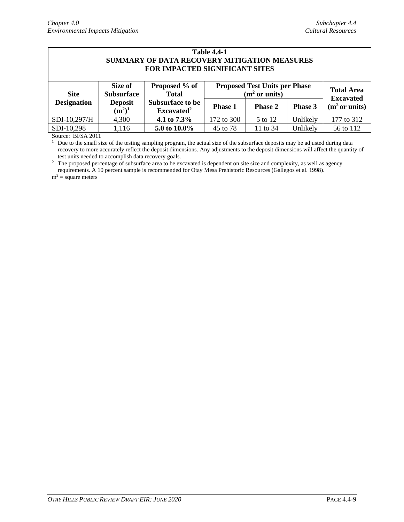| <b>Table 4.4-1</b>                           |
|----------------------------------------------|
| SUMMARY OF DATA RECOVERY MITIGATION MEASURES |
| <b>FOR IMPACTED SIGNIFICANT SITES</b>        |

| <b>Site</b>        | Size of<br><b>Subsurface</b><br><b>Deposit</b><br>$(m^2)^1$ | Proposed % of<br><b>Total</b><br><b>Subsurface to be</b><br>Excavated <sup>2</sup> | <b>Proposed Test Units per Phase</b><br>(m <sup>2</sup> or units) |                |          | <b>Total Area</b><br><b>Excavated</b> |
|--------------------|-------------------------------------------------------------|------------------------------------------------------------------------------------|-------------------------------------------------------------------|----------------|----------|---------------------------------------|
| <b>Designation</b> |                                                             |                                                                                    | <b>Phase 1</b>                                                    | <b>Phase 2</b> | Phase 3  | (m <sup>2</sup> or units)             |
| $SDI-10,297/H$     | 4,300                                                       | 4.1 to $7.3\%$                                                                     | 172 to 300                                                        | 5 to 12        | Unlikely | 177 to 312                            |
| SDI-10,298         | .116                                                        | 5.0 to 10.0%                                                                       | 45 to 78                                                          | 11 to 34       | Unlikely | 56 to 112                             |

Source: BFSA 2011

 $<sup>1</sup>$  Due to the small size of the testing sampling program, the actual size of the subsurface deposits may be adjusted during data</sup> recovery to more accurately reflect the deposit dimensions. Any adjustments to the deposit dimensions will affect the quantity of test units needed to accomplish data recovery goals.

 $2\degree$  The proposed percentage of subsurface area to be excavated is dependent on site size and complexity, as well as agency requirements. A 10 percent sample is recommended for Otay Mesa Prehistoric Resources (Gallegos et al. 1998).

 $m^2$  = square meters